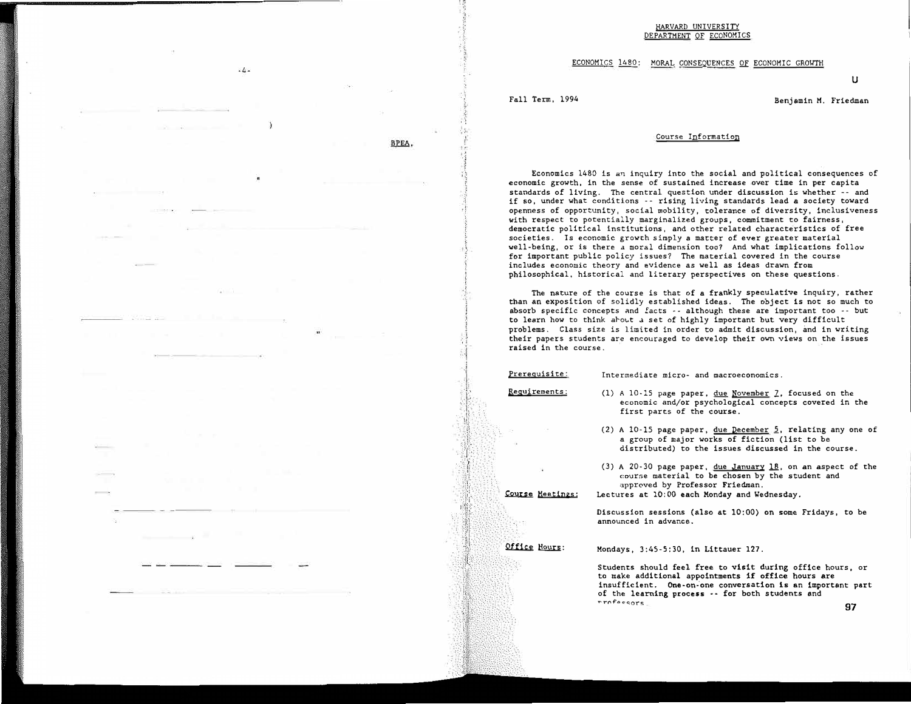#### HARVARD UNIVERSITY DEPARTMENT QE ECONOMICS

ECONOMICS 1480: MORAL CONSEQUENCES OF ECONOMIC GROWTH

u

Fall Term, 1994 **Benjamin M. Friedman** 

### Course Information

Economics 1480 is an inquiry into the social and political consequences of economic growth, in the sense of sustained increase over time in per capita standards of living. The central question under discussion is whether -· and if so, under what conditions ·· rising living standards lead a society toward openness of opportunity, social mobility, tolerance of diversity, inclusiveness with respect to potentially marginalized groups, commitment to fairness, democratic political institutions, and other related characteristics of free societies. Is economic growth simply a matter of ever greater material well-being, or is there a moral dimension too? And what implications follow for important public policy issues? The material covered in the course includes economic theory and evidence as well as ideas drawn from philosophical, historical and literary perspectives on these questions.

The nature of the course is that of a frankly speculative inquiry, rather than an exposition of solidly established ideas. The object is not so much to absorb specific concepts and £acts -· although these are important too •· but to learn how to think about a set of highly important but very difficult problems. Class size is limited in order to admit discussion, and in writing their papers students are encouraged to develop their own views on the issues raised in the course.

Prerequisite:

Intermediate micro- and macroeconomics.

Requjrements:

I

BPEA.

 $\cdot$ k -

(1) A 10-15 page paper, due November  $\mathcal{I}$ , focused on the economic and/or psychological concepts covered in the first parts of the course.

- (2) A 10-15 page paper, due December 2, relating any one of a group of major works of fiction (list to be distributed) to the issues discussed in the course.
- $(3)$  A 20-30 page paper, due January 18, on an aspect of the course material to be chosen by the student and :1pproved by Professor Friedman.

Lectures at 10:00 each Monday and Wednesday.

Discussion sessions (also at 10:00) on some Fridays, to be announced in advance.

Office Hours:

Course Meetings:

Mondays, 3:45-5:30, in Littauer 127.

Students should feel free to visit during office hours, or to make additional appointments if office hours are insufficient. One-on-one conversation is an important part of the learning process -- for both students and  $\frac{1}{27}$ ,  $\frac{1}{27}$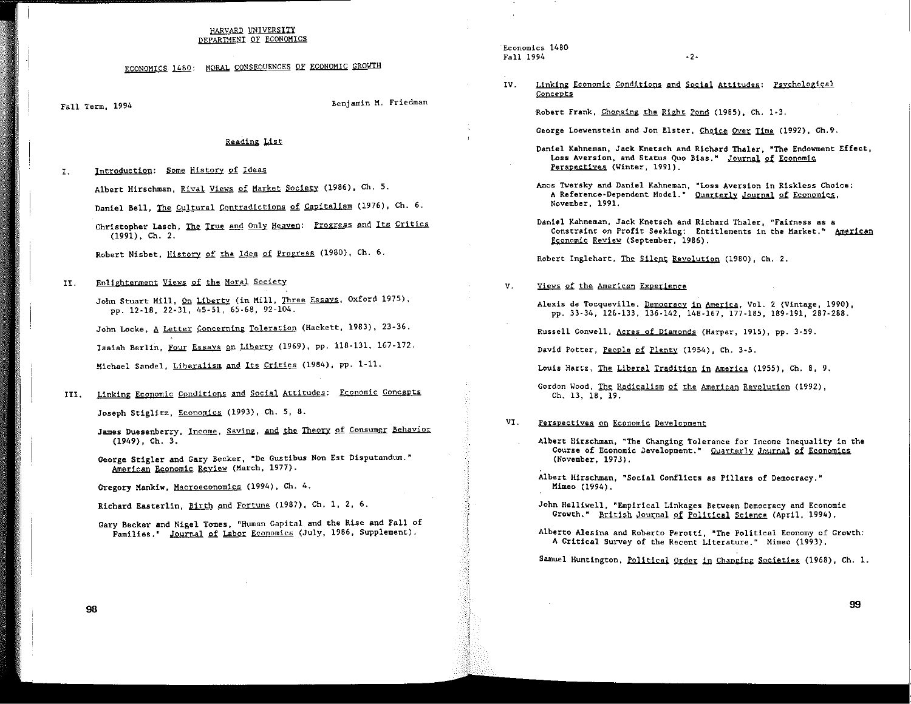#### HARVARD UNIVERSITY DEPARTMENT OF ECONOMICS

# ECONOMICS 1480: MORAL CONSEQUENCES OF ECONOMIC GROWTH

Fall Term, 1994

Benjamin M. Friedman

## Reading List

 $\mathbf{I}$ . Introduction: Some History of Ideas

Albert Hirschman, Rival Views of Market Society (1986), Ch. 5.

Daniel Bell, The Cultural Contradictions of Capitalism (1976), Ch. 6.

Christopher Lasch, The True and Only Heaven: Progress and Its Critics  $(1991)$ , Ch. 2.

Robert Nisbet, History of the Idea of Progress (1980), Ch. 6.

 $II.$ Enlightenment Views of the Moral Society

> John Stuart Mill, On Liberty (in Mill, Three Essays, Oxford 1975), pp. 12-18, 22-31, 45-51, 65-68, 92-104.

John Locke, A Letter Concerning Toleration (Hackett, 1983), 23-36. Isaiah Berlin, Four Essays on Liberty (1969), pp. 118-131, 167-172. Michael Sandel, Liberalism and Its Critics (1984), pp. 1-11.

III. Linking Economic Conditions and Social Attitudes: Economic Concepts

Joseph Stiglitz, Economics (1993), Ch. 5, 8.

- James Duesenberry, Income, Saving, and the Theory of Consumer Behavior  $(1949)$ , Ch. 3.
- George Stigler and Gary Becker, "De Gustibus Non Est Disputandum." American Economic Review (March, 1977).

Gregory Mankiw, Macroeconomics (1994), Ch. 4.

Richard Easterlin, Birth and Fortune (1987), Ch. 1, 2, 6.

Gary Becker and Nigel Tomes, "Human Capital and the Rise and Fall of Families." Journal of Labor Economics (July, 1986, Supplement).

Economics 1480 Fall 1994

- $-2-$
- IV. Linking Economic Conditions and Social Attitudes: Psychological Concepts

Robert Frank, Choosing the Right Pond (1985), Ch. 1-3.

George Loewenstein and Jon Elster, Choice Over Time (1992), Ch.9.

- Daniel Kahneman, Jack Knetsch and Richard Thaler, "The Endowment Effect, Loss Aversion, and Status Quo Bias." Journal of Economic Perspectives (Winter, 1991).
- Amos Twersky and Daniel Kahneman, "Loss Aversion in Riskless Choice: A Reference-Dependent Model." Quarterly Journal of Economics, November, 1991.
- Daniel Kahneman, Jack Knetsch and Richard Thaler. "Fairness as a Constraint on Profit Seeking: Entitlements in the Market." American Economic Review (September, 1986).

Robert Inglehart, The Silent Revolution (1980), Ch. 2.

 $V<sub>1</sub>$ Views of the American Experience

> Alexis de Tocqueville, Democracy in America, Vol. 2 (Vintage, 1990), pp. 33-34, 126-133, 136-142, 148-167, 177-185, 189-191, 287-288.

Russell Conwell, Acres of Diamonds (Harper, 1915), pp. 3-59.

David Potter, People of Plenty (1954), Ch. 3-5.

Louis Hartz, The Liberal Tradition in America (1955), Ch. 8, 9.

Gordon Wood, The Radicalism of the American Revolution (1992), Ch. 13, 18, 19.

- VI. Perspectives on Economic Development
	- Albert Hirschman, "The Changing Tolerance for Income Inequality in the Course of Economic Development." Quarterly Journal of Economics (November, 1973).
	- Albert Hirschman, "Social Conflicts as Pillars of Democracy." Mimeo (1994).
	- John Helliwell, "Empirical Linkages Between Democracy and Economic Growth." British Journal of Political Science (April, 1994).
	- Alberto Alesina and Roberto Perotti, "The Political Economy of Growth: A Critical Survey of the Recent Literature." Mimeo (1993).

Samuel Huntington, Political Order in Changing Societies (1968), Ch. 1.